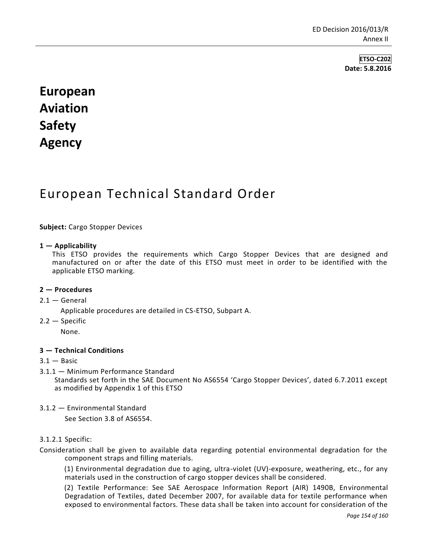**ETSO-C202 Date: 5.8.2016**

# **European Aviation Safety Agency**

## European Technical Standard Order

#### **Subject:** Cargo Stopper Devices

#### **1 — Applicability**

This ETSO provides the requirements which Cargo Stopper Devices that are designed and manufactured on or after the date of this ETSO must meet in order to be identified with the applicable ETSO marking.

#### **2 — Procedures**

#### $2.1 -$  General

Applicable procedures are detailed in CS-ETSO, Subpart A.

2.2 — Specific

None.

#### **3 — Technical Conditions**

- $3.1 -$ Basic
- 3.1.1 Minimum Performance Standard Standards set forth in the SAE Document No AS6554 'Cargo Stopper Devices', dated 6.7.2011 except as modified by Appendix 1 of this ETSO
- 3.1.2 Environmental Standard

See Section 3.8 of AS6554.

#### 3.1.2.1 Specific:

Consideration shall be given to available data regarding potential environmental degradation for the component straps and filling materials.

(1) Environmental degradation due to aging, ultra-violet (UV)-exposure, weathering, etc., for any materials used in the construction of cargo stopper devices shall be considered.

(2) Textile Performance: See SAE Aerospace Information Report (AIR) 1490B, Environmental Degradation of Textiles, dated December 2007, for available data for textile performance when exposed to environmental factors. These data shall be taken into account for consideration of the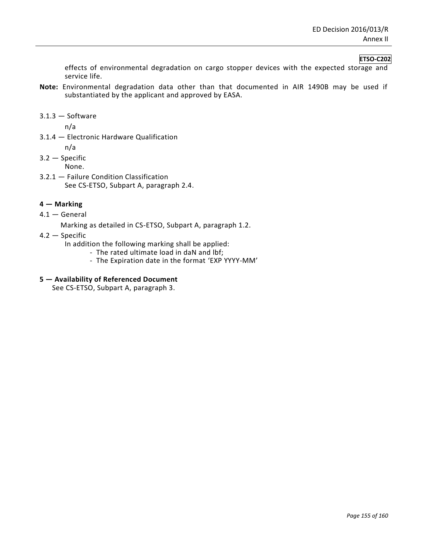#### **ETSO-C202**

effects of environmental degradation on cargo stopper devices with the expected storage and service life.

- **Note:** Environmental degradation data other than that documented in AIR 1490B may be used if substantiated by the applicant and approved by EASA.
- $3.1.3 -$ Software

n/a

- 3.1.4 Electronic Hardware Qualification
	- n/a

3.2 — Specific

- None.
- 3.2.1 Failure Condition Classification See CS-ETSO, Subpart A, paragraph 2.4.

#### **4 — Marking**

4.1 — General

Marking as detailed in CS-ETSO, Subpart A, paragraph 1.2.

4.2 — Specific

In addition the following marking shall be applied:

- The rated ultimate load in daN and lbf;
- The Expiration date in the format 'EXP YYYY-MM'

#### **5 — Availability of Referenced Document**

See CS-ETSO, Subpart A, paragraph 3.